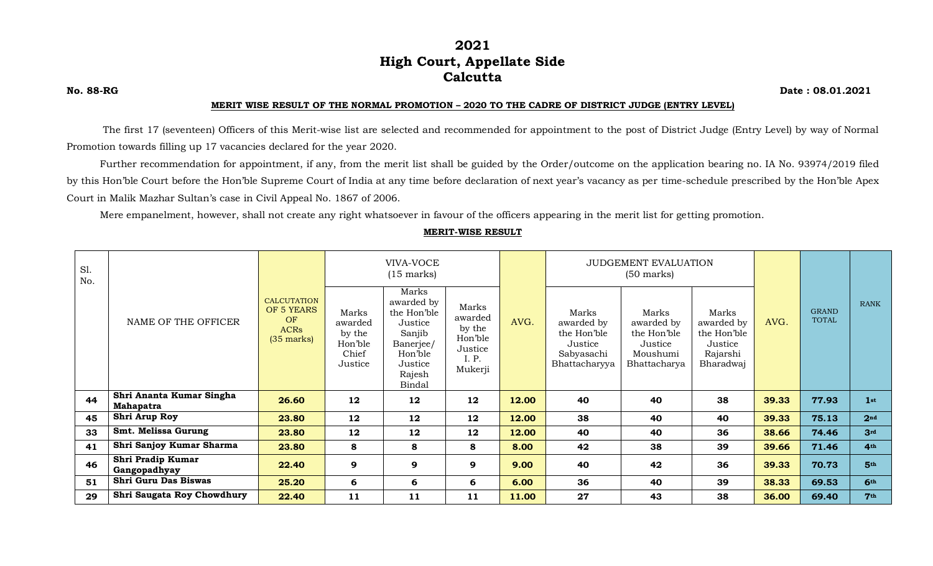# **2021 High Court, Appellate Side Calcutta**

**No. 88-RG Date : 08.01.2021**

#### **MERIT WISE RESULT OF THE NORMAL PROMOTION – 2020 TO THE CADRE OF DISTRICT JUDGE (ENTRY LEVEL)**

The first 17 (seventeen) Officers of this Merit-wise list are selected and recommended for appointment to the post of District Judge (Entry Level) by way of Normal Promotion towards filling up 17 vacancies declared for the year 2020.

Further recommendation for appointment, if any, from the merit list shall be guided by the Order/outcome on the application bearing no. IA No. 93974/2019 filed by this Hon'ble Court before the Hon'ble Supreme Court of India at any time before declaration of next year's vacancy as per time-schedule prescribed by the Hon'ble Apex Court in Malik Mazhar Sultan's case in Civil Appeal No. 1867 of 2006.

Mere empanelment, however, shall not create any right whatsoever in favour of the officers appearing in the merit list for getting promotion.

| S1.<br>No. |                                              | <b>CALCUTATION</b><br>OF 5 YEARS<br><b>OF</b><br><b>ACRs</b><br>$(35$ marks) | VIVA-VOCE<br>$(15$ marks)                                 |                                                                                                                |                                                                      |       | JUDGEMENT EVALUATION<br>$(50 \text{ marks})$                                 |                                                                           |                                                                        |       |                              |                 |
|------------|----------------------------------------------|------------------------------------------------------------------------------|-----------------------------------------------------------|----------------------------------------------------------------------------------------------------------------|----------------------------------------------------------------------|-------|------------------------------------------------------------------------------|---------------------------------------------------------------------------|------------------------------------------------------------------------|-------|------------------------------|-----------------|
|            | NAME OF THE OFFICER                          |                                                                              | Marks<br>awarded<br>by the<br>Hon'ble<br>Chief<br>Justice | Marks<br>awarded by<br>the Hon'ble<br>Justice<br>Sanjib<br>Banerjee/<br>Hon'ble<br>Justice<br>Rajesh<br>Bindal | Marks<br>awarded<br>by the<br>Hon'ble<br>Justice<br>I. P.<br>Mukerji | AVG.  | Marks<br>awarded by<br>the Hon'ble<br>Justice<br>Sabyasachi<br>Bhattacharyya | Marks<br>awarded by<br>the Hon'ble<br>Justice<br>Moushumi<br>Bhattacharya | Marks<br>awarded by<br>the Hon'ble<br>Justice<br>Rajarshi<br>Bharadwaj | AVG.  | <b>GRAND</b><br><b>TOTAL</b> | <b>RANK</b>     |
| 44         | Shri Ananta Kumar Singha<br><b>Mahapatra</b> | 26.60                                                                        | 12                                                        | 12                                                                                                             | 12                                                                   | 12.00 | 40                                                                           | 40                                                                        | 38                                                                     | 39.33 | 77.93                        | 1 <sup>st</sup> |
| 45         | Shri Arup Roy                                | 23.80                                                                        | 12                                                        | 12                                                                                                             | 12                                                                   | 12.00 | 38                                                                           | 40                                                                        | 40                                                                     | 39.33 | 75.13                        | 2 <sub>nd</sub> |
| 33         | Smt. Melissa Gurung                          | 23.80                                                                        | 12                                                        | 12                                                                                                             | 12                                                                   | 12.00 | 40                                                                           | 40                                                                        | 36                                                                     | 38.66 | 74.46                        | 3rd             |
| 41         | Shri Sanjoy Kumar Sharma                     | 23.80                                                                        | 8                                                         | 8                                                                                                              | 8                                                                    | 8.00  | 42                                                                           | 38                                                                        | 39                                                                     | 39.66 | 71.46                        | 4th             |
| 46         | Shri Pradip Kumar<br>Gangopadhyay            | 22.40                                                                        | 9                                                         | 9                                                                                                              | 9                                                                    | 9.00  | 40                                                                           | 42                                                                        | 36                                                                     | 39.33 | 70.73                        | 5th             |
| 51         | <b>Shri Guru Das Biswas</b>                  | 25.20                                                                        | 6                                                         | 6                                                                                                              | 6                                                                    | 6.00  | 36                                                                           | 40                                                                        | 39                                                                     | 38.33 | 69.53                        | 6 <sup>th</sup> |
| 29         | Shri Saugata Roy Chowdhury                   | 22.40                                                                        | 11                                                        | 11                                                                                                             | 11                                                                   | 11.00 | 27                                                                           | 43                                                                        | 38                                                                     | 36.00 | 69.40                        | 7 <sup>th</sup> |

#### **MERIT-WISE RESULT**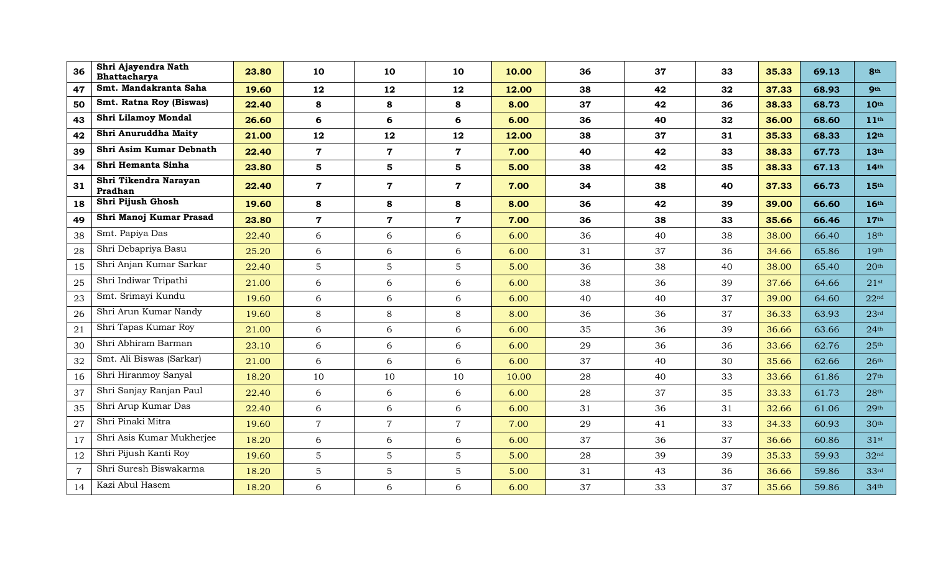| 36             | Shri Ajayendra Nath<br>Bhattacharya | 23.80 | 10             | 10             | 10             | 10.00 | 36 | 37 | 33 | 35.33 | 69.13 | 8th              |
|----------------|-------------------------------------|-------|----------------|----------------|----------------|-------|----|----|----|-------|-------|------------------|
| 47             | Smt. Mandakranta Saha               | 19.60 | 12             | 12             | 12             | 12.00 | 38 | 42 | 32 | 37.33 | 68.93 | <b>9th</b>       |
| 50             | Smt. Ratna Roy (Biswas)             | 22.40 | 8              | 8              | 8              | 8.00  | 37 | 42 | 36 | 38.33 | 68.73 | 10th             |
| 43             | Shri Lilamoy Mondal                 | 26.60 | 6              | 6              | 6              | 6.00  | 36 | 40 | 32 | 36.00 | 68.60 | 11 <sup>th</sup> |
| 42             | Shri Anuruddha Maity                | 21.00 | 12             | 12             | 12             | 12.00 | 38 | 37 | 31 | 35.33 | 68.33 | 12 <sup>th</sup> |
| 39             | Shri Asim Kumar Debnath             | 22.40 | $\mathbf 7$    | $\mathbf 7$    | $\mathbf 7$    | 7.00  | 40 | 42 | 33 | 38.33 | 67.73 | 13 <sup>th</sup> |
| 34             | Shri Hemanta Sinha                  | 23.80 | 5              | 5              | 5              | 5.00  | 38 | 42 | 35 | 38.33 | 67.13 | 14 <sup>th</sup> |
| 31             | Shri Tikendra Narayan<br>Pradhan    | 22.40 | $\mathbf 7$    | $\mathbf 7$    | $\mathbf 7$    | 7.00  | 34 | 38 | 40 | 37.33 | 66.73 | 15th             |
| 18             | Shri Pijush Ghosh                   | 19.60 | 8              | 8              | 8              | 8.00  | 36 | 42 | 39 | 39.00 | 66.60 | 16th             |
| 49             | Shri Manoj Kumar Prasad             | 23.80 | $\mathbf 7$    | $\overline{7}$ | $\overline{7}$ | 7.00  | 36 | 38 | 33 | 35.66 | 66.46 | 17 <sup>th</sup> |
| 38             | Smt. Papiya Das                     | 22.40 | 6              | 6              | 6              | 6.00  | 36 | 40 | 38 | 38.00 | 66.40 | 18 <sup>th</sup> |
| 28             | Shri Debapriya Basu                 | 25.20 | 6              | 6              | 6              | 6.00  | 31 | 37 | 36 | 34.66 | 65.86 | 19 <sup>th</sup> |
| 15             | Shri Anjan Kumar Sarkar             | 22.40 | 5              | 5              | $\overline{5}$ | 5.00  | 36 | 38 | 40 | 38.00 | 65.40 | 20 <sup>th</sup> |
| 25             | Shri Indiwar Tripathi               | 21.00 | 6              | 6              | 6              | 6.00  | 38 | 36 | 39 | 37.66 | 64.66 | $21$ st          |
| 23             | Smt. Srimayi Kundu                  | 19.60 | 6              | 6              | 6              | 6.00  | 40 | 40 | 37 | 39.00 | 64.60 | 22 <sup>nd</sup> |
| 26             | Shri Arun Kumar Nandy               | 19.60 | $\,8\,$        | 8              | 8              | 8.00  | 36 | 36 | 37 | 36.33 | 63.93 | 23 <sup>rd</sup> |
| 21             | Shri Tapas Kumar Roy                | 21.00 | 6              | 6              | 6              | 6.00  | 35 | 36 | 39 | 36.66 | 63.66 | 24 <sup>th</sup> |
| 30             | Shri Abhiram Barman                 | 23.10 | 6              | 6              | 6              | 6.00  | 29 | 36 | 36 | 33.66 | 62.76 | 25 <sup>th</sup> |
| 32             | Smt. Ali Biswas (Sarkar)            | 21.00 | 6              | 6              | 6              | 6.00  | 37 | 40 | 30 | 35.66 | 62.66 | 26 <sup>th</sup> |
| 16             | Shri Hiranmoy Sanyal                | 18.20 | 10             | 10             | 10             | 10.00 | 28 | 40 | 33 | 33.66 | 61.86 | 27 <sup>th</sup> |
| 37             | Shri Sanjay Ranjan Paul             | 22.40 | 6              | 6              | 6              | 6.00  | 28 | 37 | 35 | 33.33 | 61.73 | 28 <sup>th</sup> |
| 35             | Shri Arup Kumar Das                 | 22.40 | 6              | 6              | 6              | 6.00  | 31 | 36 | 31 | 32.66 | 61.06 | 29 <sup>th</sup> |
| 27             | Shri Pinaki Mitra                   | 19.60 | $\overline{7}$ | $\overline{7}$ | $\overline{7}$ | 7.00  | 29 | 41 | 33 | 34.33 | 60.93 | 30 <sup>th</sup> |
| 17             | Shri Asis Kumar Mukherjee           | 18.20 | 6              | 6              | 6              | 6.00  | 37 | 36 | 37 | 36.66 | 60.86 | $31$ st          |
| 12             | Shri Pijush Kanti Roy               | 19.60 | 5              | 5              | $\overline{5}$ | 5.00  | 28 | 39 | 39 | 35.33 | 59.93 | 32 <sup>nd</sup> |
| $\overline{7}$ | Shri Suresh Biswakarma              | 18.20 | $\mathbf 5$    | 5              | $\sqrt{5}$     | 5.00  | 31 | 43 | 36 | 36.66 | 59.86 | 33 <sup>rd</sup> |
| 14             | Kazi Abul Hasem                     | 18.20 | 6              | 6              | 6              | 6.00  | 37 | 33 | 37 | 35.66 | 59.86 | 34 <sup>th</sup> |